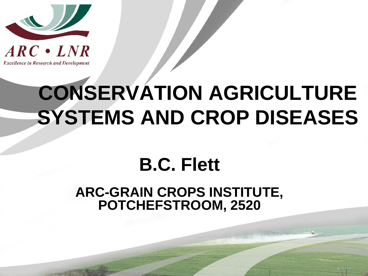

**Excellence in Research and Development** 

### **CONSERVATION AGRICULTURE SYSTEMS AND CROP DISEASES**

#### **B.C. Flett**

#### **ARC-GRAIN CROPS INSTITUTE, POTCHEFSTROOM, 2520**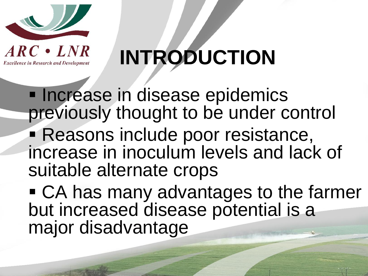

**Excellence in Research and Development** 



**Increase in disease epidemics** previously thought to be under control **Reasons include poor resistance,** increase in inoculum levels and lack of suitable alternate crops

 CA has many advantages to the farmer but increased disease potential is a major disadvantage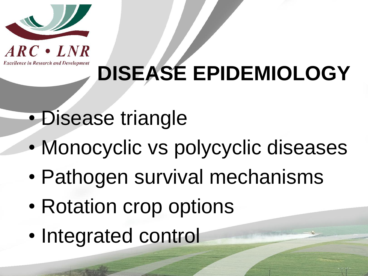



# **DISEASE EPIDEMIOLOGY**

- Disease triangle
- Monocyclic vs polycyclic diseases
- Pathogen survival mechanisms
- Rotation crop options
- Integrated control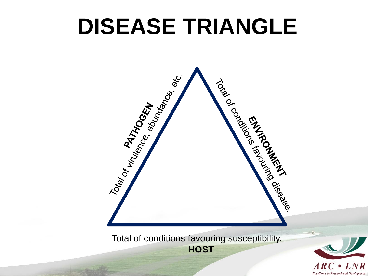### **DISEASE TRIANGLE**



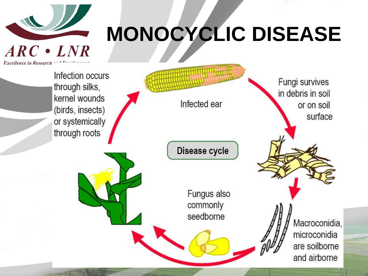

# **MONOCYCLIC DISEASE**

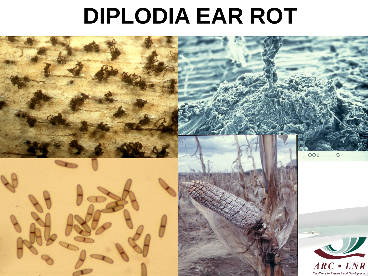#### **DIPLODIA EAR ROT**

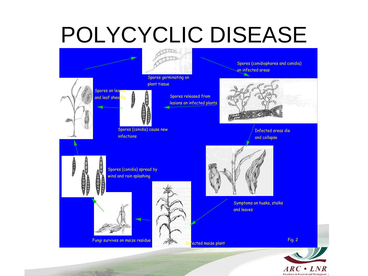## POLYCYCLIC DISEASE



**Excellence in Research and Development**